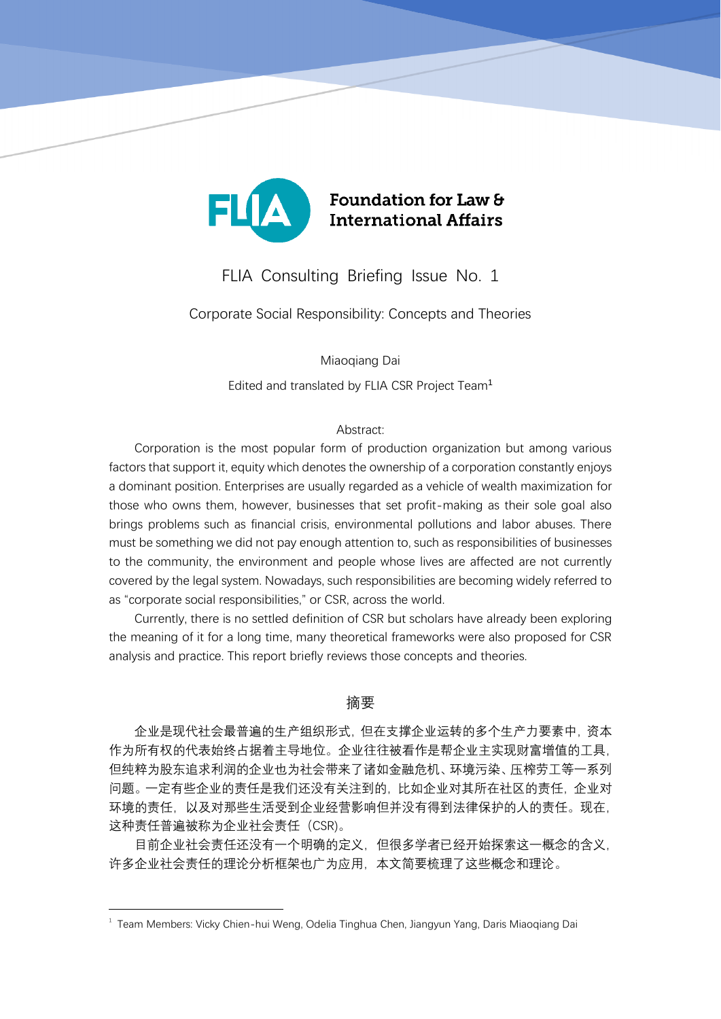

# FLIA Consulting Briefing Issue No. 1

Corporate Social Responsibility: Concepts and Theories

Miaoqiang Dai

Edited and translated by FLIA CSR Project Team<sup>1</sup>

### Abstract:

Corporation is the most popular form of production organization but among various factors that support it, equity which denotes the ownership of a corporation constantly enjoys a dominant position. Enterprises are usually regarded as a vehicle of wealth maximization for those who owns them, however, businesses that set profit-making as their sole goal also brings problems such as financial crisis, environmental pollutions and labor abuses. There must be something we did not pay enough attention to, such as responsibilities of businesses to the community, the environment and people whose lives are affected are not currently covered by the legal system. Nowadays, such responsibilities are becoming widely referred to as "corporate social responsibilities," or CSR, across the world.

Currently, there is no settled definition of CSR but scholars have already been exploring the meaning of it for a long time, many theoretical frameworks were also proposed for CSR analysis and practice. This report briefly reviews those concepts and theories.

## 摘要

企业是现代社会最普遍的生产组织形式,但在支撑企业运转的多个生产力要素中,资本 作为所有权的代表始终占据着主导地位。企业往往被看作是帮企业主实现财富增值的工具, 但纯粹为股东追求利润的企业也为社会带来了诸如金融危机、环境污染、压榨劳工等一系列 问题。一定有些企业的责任是我们还没有关注到的,比如企业对其所在社区的责任,企业对 环境的责任,以及对那些生活受到企业经营影响但并没有得到法律保护的人的责任。现在, 这种责任普遍被称为企业社会责任(CSR)。

目前企业社会责任还没有一个明确的定义,但很多学者已经开始探索这一概念的含义, 许多企业社会责任的理论分析框架也广为应用,本文简要梳理了这些概念和理论。

1

 $^{\rm 1}$  Team Members: Vicky Chien-hui Weng, Odelia Tinghua Chen, Jiangyun Yang, Daris Miaoqiang Dai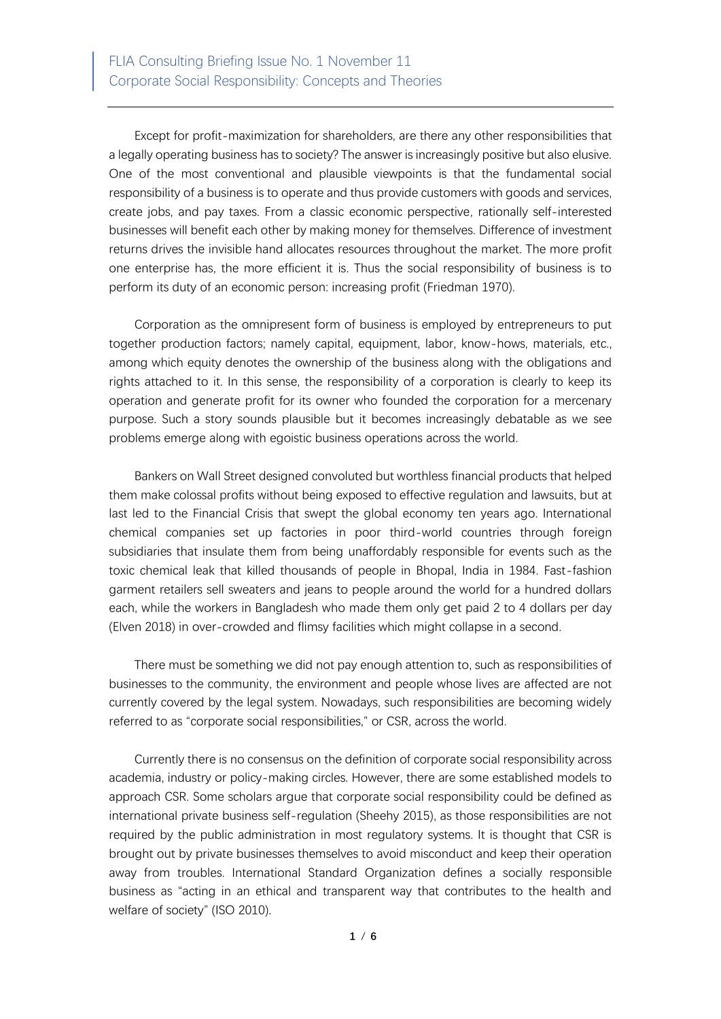Except for profit-maximization for shareholders, are there any other responsibilities that a legally operating business has to society? The answer is increasingly positive but also elusive. One of the most conventional and plausible viewpoints is that the fundamental social responsibility of a business is to operate and thus provide customers with goods and services, create jobs, and pay taxes. From a classic economic perspective, rationally self-interested businesses will benefit each other by making money for themselves. Difference of investment returns drives the invisible hand allocates resources throughout the market. The more profit one enterprise has, the more efficient it is. Thus the social responsibility of business is to perform its duty of an economic person: increasing profit (Friedman 1970).

Corporation as the omnipresent form of business is employed by entrepreneurs to put together production factors; namely capital, equipment, labor, know-hows, materials, etc., among which equity denotes the ownership of the business along with the obligations and rights attached to it. In this sense, the responsibility of a corporation is clearly to keep its operation and generate profit for its owner who founded the corporation for a mercenary purpose. Such a story sounds plausible but it becomes increasingly debatable as we see problems emerge along with egoistic business operations across the world.

Bankers on Wall Street designed convoluted but worthless financial products that helped them make colossal profits without being exposed to effective regulation and lawsuits, but at last led to the Financial Crisis that swept the global economy ten years ago. International chemical companies set up factories in poor third-world countries through foreign subsidiaries that insulate them from being unaffordably responsible for events such as the toxic chemical leak that killed thousands of people in Bhopal, India in 1984. Fast-fashion garment retailers sell sweaters and jeans to people around the world for a hundred dollars each, while the workers in Bangladesh who made them only get paid 2 to 4 dollars per day (Elven 2018) in over-crowded and flimsy facilities which might collapse in a second.

There must be something we did not pay enough attention to, such as responsibilities of businesses to the community, the environment and people whose lives are affected are not currently covered by the legal system. Nowadays, such responsibilities are becoming widely referred to as "corporate social responsibilities," or CSR, across the world.

Currently there is no consensus on the definition of corporate social responsibility across academia, industry or policy-making circles. However, there are some established models to approach CSR. Some scholars argue that corporate social responsibility could be defined as international private business self-regulation (Sheehy 2015), as those responsibilities are not required by the public administration in most regulatory systems. It is thought that CSR is brought out by private businesses themselves to avoid misconduct and keep their operation away from troubles. International Standard Organization defines a socially responsible business as "acting in an ethical and transparent way that contributes to the health and welfare of society" (ISO 2010).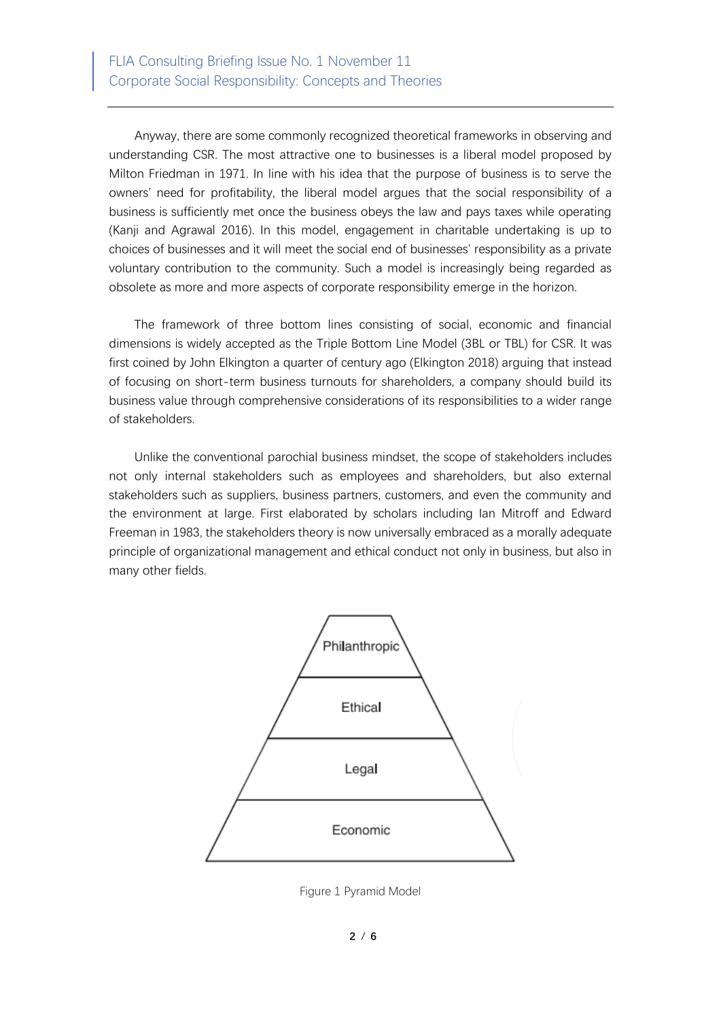Anyway, there are some commonly recognized theoretical frameworks in observing and understanding CSR. The most attractive one to businesses is a liberal model proposed by Milton Friedman in 1971. In line with his idea that the purpose of business is to serve the owners' need for profitability, the liberal model argues that the social responsibility of a business is sufficiently met once the business obeys the law and pays taxes while operating (Kanji and Agrawal 2016). In this model, engagement in charitable undertaking is up to choices of businesses and it will meet the social end of businesses' responsibility as a private voluntary contribution to the community. Such a model is increasingly being regarded as obsolete as more and more aspects of corporate responsibility emerge in the horizon.

The framework of three bottom lines consisting of social, economic and financial dimensions is widely accepted as the Triple Bottom Line Model (3BL or TBL) for CSR. It was first coined by John Elkington a quarter of century ago (Elkington 2018) arguing that instead of focusing on short-term business turnouts for shareholders, a company should build its business value through comprehensive considerations of its responsibilities to a wider range of stakeholders.

Unlike the conventional parochial business mindset, the scope of stakeholders includes not only internal stakeholders such as employees and shareholders, but also external stakeholders such as suppliers, business partners, customers, and even the community and the environment at large. First elaborated by scholars including Ian Mitroff and Edward Freeman in 1983, the stakeholders theory is now universally embraced as a morally adequate principle of organizational management and ethical conduct not only in business, but also in many other fields.



Figure 1 Pyramid Model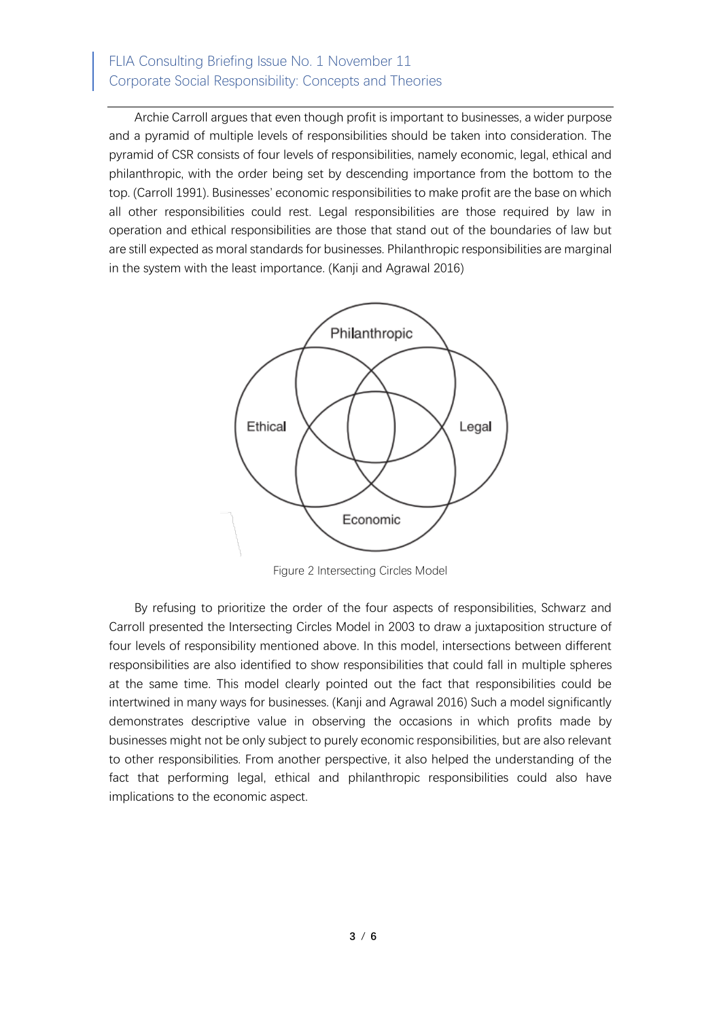# FLIA Consulting Briefing Issue No. 1 November 11 Corporate Social Responsibility: Concepts and Theories

Archie Carroll argues that even though profit is important to businesses, a wider purpose and a pyramid of multiple levels of responsibilities should be taken into consideration. The pyramid of CSR consists of four levels of responsibilities, namely economic, legal, ethical and philanthropic, with the order being set by descending importance from the bottom to the top. (Carroll 1991). Businesses' economic responsibilities to make profit are the base on which all other responsibilities could rest. Legal responsibilities are those required by law in operation and ethical responsibilities are those that stand out of the boundaries of law but are still expected as moral standards for businesses. Philanthropic responsibilities are marginal in the system with the least importance. (Kanji and Agrawal 2016)



Figure 2 Intersecting Circles Model

By refusing to prioritize the order of the four aspects of responsibilities, Schwarz and Carroll presented the Intersecting Circles Model in 2003 to draw a juxtaposition structure of four levels of responsibility mentioned above. In this model, intersections between different responsibilities are also identified to show responsibilities that could fall in multiple spheres at the same time. This model clearly pointed out the fact that responsibilities could be intertwined in many ways for businesses. (Kanji and Agrawal 2016) Such a model significantly demonstrates descriptive value in observing the occasions in which profits made by businesses might not be only subject to purely economic responsibilities, but are also relevant to other responsibilities. From another perspective, it also helped the understanding of the fact that performing legal, ethical and philanthropic responsibilities could also have implications to the economic aspect.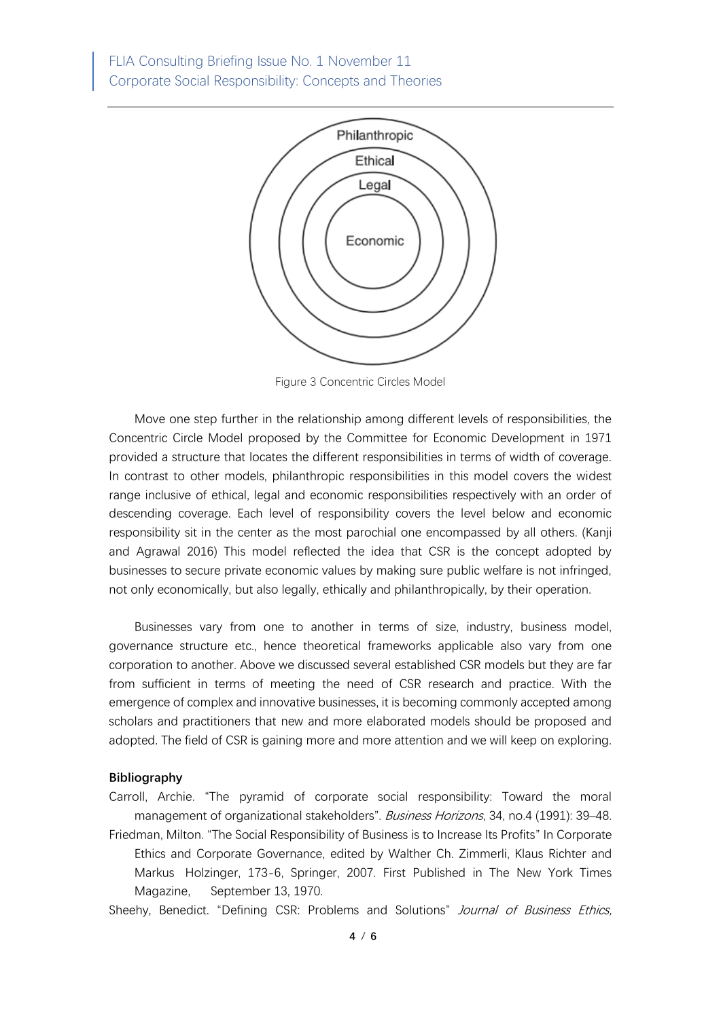FLIA Consulting Briefing Issue No. 1 November 11 Corporate Social Responsibility: Concepts and Theories



Figure 3 Concentric Circles Model

Move one step further in the relationship among different levels of responsibilities, the Concentric Circle Model proposed by the Committee for Economic Development in 1971 provided a structure that locates the different responsibilities in terms of width of coverage. In contrast to other models, philanthropic responsibilities in this model covers the widest range inclusive of ethical, legal and economic responsibilities respectively with an order of descending coverage. Each level of responsibility covers the level below and economic responsibility sit in the center as the most parochial one encompassed by all others. (Kanji and Agrawal 2016) This model reflected the idea that CSR is the concept adopted by businesses to secure private economic values by making sure public welfare is not infringed, not only economically, but also legally, ethically and philanthropically, by their operation.

Businesses vary from one to another in terms of size, industry, business model, governance structure etc., hence theoretical frameworks applicable also vary from one corporation to another. Above we discussed several established CSR models but they are far from sufficient in terms of meeting the need of CSR research and practice. With the emergence of complex and innovative businesses, it is becoming commonly accepted among scholars and practitioners that new and more elaborated models should be proposed and adopted. The field of CSR is gaining more and more attention and we will keep on exploring.

#### **Bibliography**

Carroll, Archie. "The pyramid of corporate social responsibility: Toward the moral management of organizational stakeholders". Business Horizons, 34, no.4 (1991): 39–48. Friedman, Milton. "The Social Responsibility of Business is to Increase Its Profits" In Corporate Ethics and Corporate Governance, edited by Walther Ch. Zimmerli, Klaus Richter and Markus Holzinger, 173-6, Springer, 2007. First Published in The New York Times Magazine, September 13, 1970.

Sheehy, Benedict. "Defining CSR: Problems and Solutions" Journal of Business Ethics,